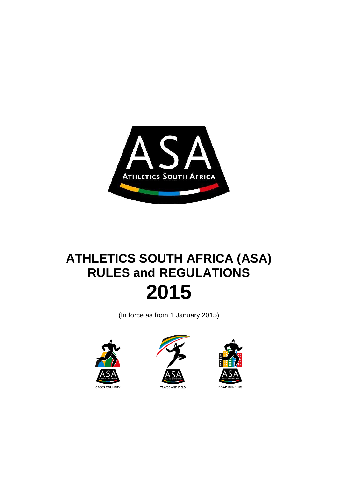

# **ATHLETICS SOUTH AFRICA (ASA) RULES and REGULATIONS 2015**

(In force as from 1 January 2015)





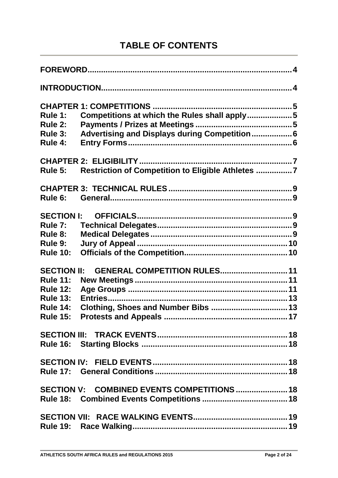# **TABLE OF CONTENTS**

| Rule 1:            | Competitions at which the Rules shall apply5      |
|--------------------|---------------------------------------------------|
| Rule 2:            |                                                   |
| Rule 3:            | Advertising and Displays during Competition 6     |
| Rule 4:            |                                                   |
|                    |                                                   |
| Rule 5:            | Restriction of Competition to Eligible Athletes 7 |
|                    |                                                   |
| Rule 6:            |                                                   |
| <b>SECTION I:</b>  |                                                   |
| Rule 7:            |                                                   |
| Rule 8:            |                                                   |
| Rule 9:            |                                                   |
| <b>Rule 10:</b>    |                                                   |
| <b>SECTION II:</b> | GENERAL COMPETITION RULES 11                      |
| <b>Rule 11:</b>    |                                                   |
| <b>Rule 12:</b>    |                                                   |
| <b>Rule 13:</b>    |                                                   |
| <b>Rule 14:</b>    | Clothing, Shoes and Number Bibs  13               |
| <b>Rule 15:</b>    |                                                   |
|                    |                                                   |
|                    |                                                   |
|                    |                                                   |
|                    |                                                   |
|                    | SECTION V: COMBINED EVENTS COMPETITIONS  18       |
|                    |                                                   |
|                    |                                                   |
|                    |                                                   |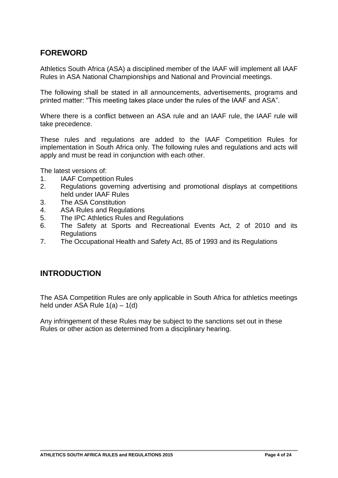# **FOREWORD**

Athletics South Africa (ASA) a disciplined member of the IAAF will implement all IAAF Rules in ASA National Championships and National and Provincial meetings.

The following shall be stated in all announcements, advertisements, programs and printed matter: "This meeting takes place under the rules of the IAAF and ASA".

Where there is a conflict between an ASA rule and an IAAF rule, the IAAF rule will take precedence.

These rules and regulations are added to the IAAF Competition Rules for implementation in South Africa only. The following rules and regulations and acts will apply and must be read in conjunction with each other.

The latest versions of:

- 1. IAAF Competition Rules
- 2. Regulations governing advertising and promotional displays at competitions held under IAAF Rules
- 3. The ASA Constitution
- 4. ASA Rules and Regulations
- 5. The IPC Athletics Rules and Regulations
- 6. The Safety at Sports and Recreational Events Act, 2 of 2010 and its **Regulations**
- 7. The Occupational Health and Safety Act, 85 of 1993 and its Regulations

# **INTRODUCTION**

The ASA Competition Rules are only applicable in South Africa for athletics meetings held under ASA Rule 1(a) – 1(d)

Any infringement of these Rules may be subject to the sanctions set out in these Rules or other action as determined from a disciplinary hearing.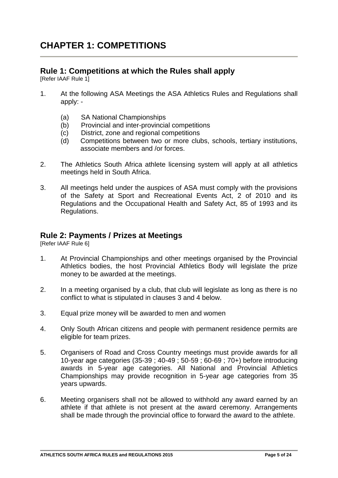# **CHAPTER 1: COMPETITIONS**

# **Rule 1: Competitions at which the Rules shall apply**

[Refer IAAF Rule 1]

- 1. At the following ASA Meetings the ASA Athletics Rules and Regulations shall apply: -
	- (a) SA National Championships
	- (b) Provincial and inter-provincial competitions
	- (c) District, zone and regional competitions
	- (d) Competitions between two or more clubs, schools, tertiary institutions, associate members and /or forces.
- 2. The Athletics South Africa athlete licensing system will apply at all athletics meetings held in South Africa.
- 3. All meetings held under the auspices of ASA must comply with the provisions of the Safety at Sport and Recreational Events Act, 2 of 2010 and its Regulations and the Occupational Health and Safety Act, 85 of 1993 and its Regulations.

# **Rule 2: Payments / Prizes at Meetings**

[Refer IAAF Rule 6]

- 1. At Provincial Championships and other meetings organised by the Provincial Athletics bodies, the host Provincial Athletics Body will legislate the prize money to be awarded at the meetings.
- 2. In a meeting organised by a club, that club will legislate as long as there is no conflict to what is stipulated in clauses 3 and 4 below.
- 3. Equal prize money will be awarded to men and women
- 4. Only South African citizens and people with permanent residence permits are eligible for team prizes.
- 5. Organisers of Road and Cross Country meetings must provide awards for all 10-year age categories (35-39 ; 40-49 ; 50-59 ; 60-69 ; 70+) before introducing awards in 5-year age categories. All National and Provincial Athletics Championships may provide recognition in 5-year age categories from 35 years upwards.
- 6. Meeting organisers shall not be allowed to withhold any award earned by an athlete if that athlete is not present at the award ceremony. Arrangements shall be made through the provincial office to forward the award to the athlete.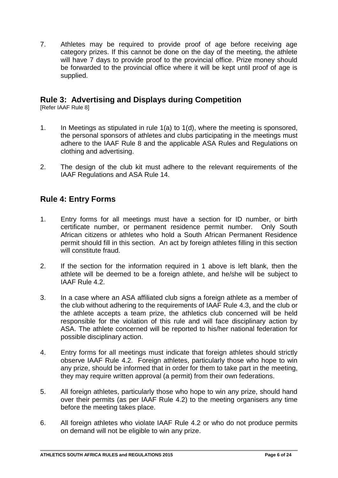7. Athletes may be required to provide proof of age before receiving age category prizes. If this cannot be done on the day of the meeting, the athlete will have 7 days to provide proof to the provincial office. Prize money should be forwarded to the provincial office where it will be kept until proof of age is supplied.

# **Rule 3: Advertising and Displays during Competition**

[Refer IAAF Rule 8]

- 1. In Meetings as stipulated in rule 1(a) to 1(d), where the meeting is sponsored, the personal sponsors of athletes and clubs participating in the meetings must adhere to the IAAF Rule 8 and the applicable ASA Rules and Regulations on clothing and advertising.
- 2. The design of the club kit must adhere to the relevant requirements of the IAAF Regulations and ASA Rule 14.

# **Rule 4: Entry Forms**

- 1. Entry forms for all meetings must have a section for ID number, or birth certificate number, or permanent residence permit number. Only South African citizens or athletes who hold a South African Permanent Residence permit should fill in this section. An act by foreign athletes filling in this section will constitute fraud.
- 2. If the section for the information required in 1 above is left blank, then the athlete will be deemed to be a foreign athlete, and he/she will be subject to IAAF Rule 4.2.
- 3. In a case where an ASA affiliated club signs a foreign athlete as a member of the club without adhering to the requirements of IAAF Rule 4.3, and the club or the athlete accepts a team prize, the athletics club concerned will be held responsible for the violation of this rule and will face disciplinary action by ASA. The athlete concerned will be reported to his/her national federation for possible disciplinary action.
- 4. Entry forms for all meetings must indicate that foreign athletes should strictly observe IAAF Rule 4.2. Foreign athletes, particularly those who hope to win any prize, should be informed that in order for them to take part in the meeting, they may require written approval (a permit) from their own federations.
- 5. All foreign athletes, particularly those who hope to win any prize, should hand over their permits (as per IAAF Rule 4.2) to the meeting organisers any time before the meeting takes place.
- 6. All foreign athletes who violate IAAF Rule 4.2 or who do not produce permits on demand will not be eligible to win any prize.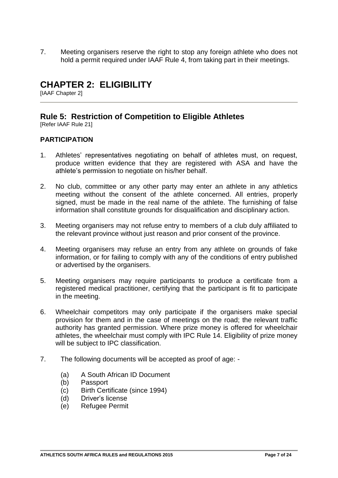7. Meeting organisers reserve the right to stop any foreign athlete who does not hold a permit required under IAAF Rule 4, from taking part in their meetings.

# **CHAPTER 2: ELIGIBILITY**

[IAAF Chapter 2]

# **Rule 5: Restriction of Competition to Eligible Athletes**

[Refer IAAF Rule 21]

## **PARTICIPATION**

- 1. Athletes' representatives negotiating on behalf of athletes must, on request, produce written evidence that they are registered with ASA and have the athlete's permission to negotiate on his/her behalf.
- 2. No club, committee or any other party may enter an athlete in any athletics meeting without the consent of the athlete concerned. All entries, properly signed, must be made in the real name of the athlete. The furnishing of false information shall constitute grounds for disqualification and disciplinary action.
- 3. Meeting organisers may not refuse entry to members of a club duly affiliated to the relevant province without just reason and prior consent of the province.
- 4. Meeting organisers may refuse an entry from any athlete on grounds of fake information, or for failing to comply with any of the conditions of entry published or advertised by the organisers.
- 5. Meeting organisers may require participants to produce a certificate from a registered medical practitioner, certifying that the participant is fit to participate in the meeting.
- 6. Wheelchair competitors may only participate if the organisers make special provision for them and in the case of meetings on the road; the relevant traffic authority has granted permission. Where prize money is offered for wheelchair athletes, the wheelchair must comply with IPC Rule 14. Eligibility of prize money will be subject to IPC classification.
- 7. The following documents will be accepted as proof of age:
	- (a) A South African ID Document
	- (b) Passport
	- (c) Birth Certificate (since 1994)
	- (d) Driver's license
	- (e) Refugee Permit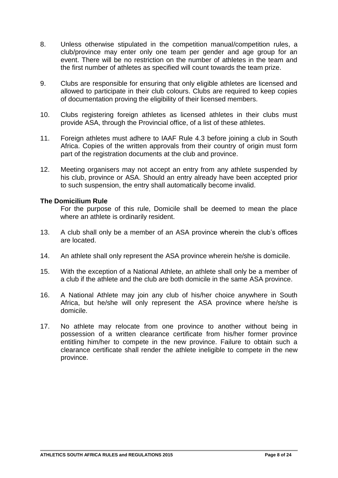- 8. Unless otherwise stipulated in the competition manual/competition rules, a club/province may enter only one team per gender and age group for an event. There will be no restriction on the number of athletes in the team and the first number of athletes as specified will count towards the team prize.
- 9. Clubs are responsible for ensuring that only eligible athletes are licensed and allowed to participate in their club colours. Clubs are required to keep copies of documentation proving the eligibility of their licensed members.
- 10. Clubs registering foreign athletes as licensed athletes in their clubs must provide ASA, through the Provincial office, of a list of these athletes.
- 11. Foreign athletes must adhere to IAAF Rule 4.3 before joining a club in South Africa. Copies of the written approvals from their country of origin must form part of the registration documents at the club and province.
- 12. Meeting organisers may not accept an entry from any athlete suspended by his club, province or ASA. Should an entry already have been accepted prior to such suspension, the entry shall automatically become invalid.

## **The Domicilium Rule**

For the purpose of this rule, Domicile shall be deemed to mean the place where an athlete is ordinarily resident.

- 13. A club shall only be a member of an ASA province wherein the club's offices are located.
- 14. An athlete shall only represent the ASA province wherein he/she is domicile.
- 15. With the exception of a National Athlete, an athlete shall only be a member of a club if the athlete and the club are both domicile in the same ASA province.
- 16. A National Athlete may join any club of his/her choice anywhere in South Africa, but he/she will only represent the ASA province where he/she is domicile.
- 17. No athlete may relocate from one province to another without being in possession of a written clearance certificate from his/her former province entitling him/her to compete in the new province. Failure to obtain such a clearance certificate shall render the athlete ineligible to compete in the new province.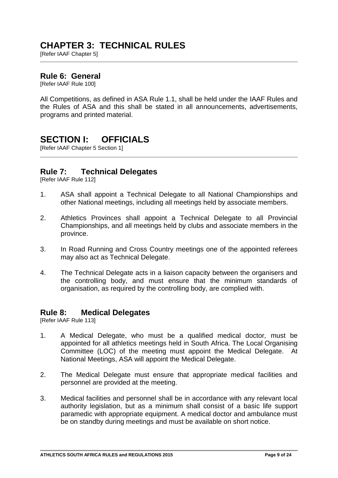# **CHAPTER 3: TECHNICAL RULES**

[Refer IAAF Chapter 5]

# **Rule 6: General**

[Refer IAAF Rule 100]

All Competitions, as defined in ASA Rule 1.1, shall be held under the IAAF Rules and the Rules of ASA and this shall be stated in all announcements, advertisements, programs and printed material.

# **SECTION I: OFFICIALS**

[Refer IAAF Chapter 5 Section 1]

# **Rule 7: Technical Delegates**

[Refer IAAF Rule 112]

- 1. ASA shall appoint a Technical Delegate to all National Championships and other National meetings, including all meetings held by associate members.
- 2. Athletics Provinces shall appoint a Technical Delegate to all Provincial Championships, and all meetings held by clubs and associate members in the province.
- 3. In Road Running and Cross Country meetings one of the appointed referees may also act as Technical Delegate.
- 4. The Technical Delegate acts in a liaison capacity between the organisers and the controlling body, and must ensure that the minimum standards of organisation, as required by the controlling body, are complied with.

# **Rule 8: Medical Delegates**

[Refer IAAF Rule 113]

- 1. A Medical Delegate, who must be a qualified medical doctor, must be appointed for all athletics meetings held in South Africa. The Local Organising Committee (LOC) of the meeting must appoint the Medical Delegate. At National Meetings, ASA will appoint the Medical Delegate.
- 2. The Medical Delegate must ensure that appropriate medical facilities and personnel are provided at the meeting.
- 3. Medical facilities and personnel shall be in accordance with any relevant local authority legislation, but as a minimum shall consist of a basic life support paramedic with appropriate equipment. A medical doctor and ambulance must be on standby during meetings and must be available on short notice.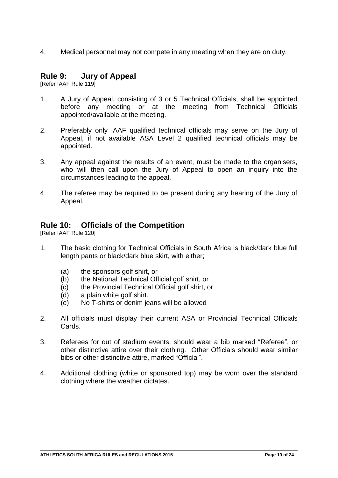4. Medical personnel may not compete in any meeting when they are on duty.

# **Rule 9: Jury of Appeal**

[Refer IAAF Rule 119]

- 1. A Jury of Appeal, consisting of 3 or 5 Technical Officials, shall be appointed before any meeting or at the meeting from Technical Officials appointed/available at the meeting.
- 2. Preferably only IAAF qualified technical officials may serve on the Jury of Appeal, if not available ASA Level 2 qualified technical officials may be appointed.
- 3. Any appeal against the results of an event, must be made to the organisers, who will then call upon the Jury of Appeal to open an inquiry into the circumstances leading to the appeal.
- 4. The referee may be required to be present during any hearing of the Jury of Appeal.

# **Rule 10: Officials of the Competition**

[Refer IAAF Rule 120]

- 1. The basic clothing for Technical Officials in South Africa is black/dark blue full length pants or black/dark blue skirt, with either;
	- (a) the sponsors golf shirt, or
	- (b) the National Technical Official golf shirt, or
	- (c) the Provincial Technical Official golf shirt, or
	- (d) a plain white golf shirt.
	- (e) No T-shirts or denim jeans will be allowed
- 2. All officials must display their current ASA or Provincial Technical Officials Cards.
- 3. Referees for out of stadium events, should wear a bib marked "Referee", or other distinctive attire over their clothing. Other Officials should wear similar bibs or other distinctive attire, marked "Official".
- 4. Additional clothing (white or sponsored top) may be worn over the standard clothing where the weather dictates.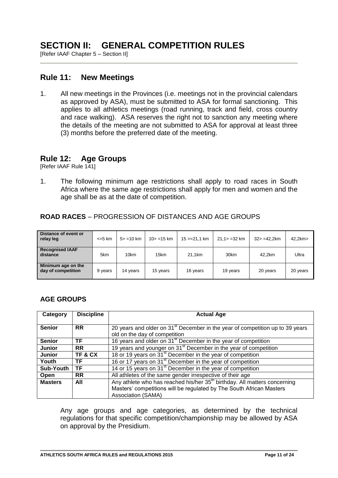# **SECTION II: GENERAL COMPETITION RULES**

[Refer IAAF Chapter 5 – Section II]

# **Rule 11: New Meetings**

1. All new meetings in the Provinces (i.e. meetings not in the provincial calendars as approved by ASA), must be submitted to ASA for formal sanctioning. This applies to all athletics meetings (road running, track and field, cross country and race walking). ASA reserves the right not to sanction any meeting where the details of the meeting are not submitted to ASA for approval at least three (3) months before the preferred date of the meeting.

## **Rule 12: Age Groups**

[Refer IAAF Rule 141]

1. The following minimum age restrictions shall apply to road races in South Africa where the same age restrictions shall apply for men and women and the age shall be as at the date of competition.

## **ROAD RACES** – PROGRESSION OF DISTANCES AND AGE GROUPS

| Distance of event or<br>relay leg        | $\leq$ 5 km | $5 > 10$ km | $10 > 15$ km | $15 > 21.1$ km | $21.1 > -32$ km  | $32 > -42.2$ km | 42.2km>  |
|------------------------------------------|-------------|-------------|--------------|----------------|------------------|-----------------|----------|
| <b>Recognised IAAF</b><br>distance       | 5km         | 10km        | 15km         | 21.1km         | 30 <sub>km</sub> | 42.2km          | Ultra    |
| Minimum age on the<br>day of competition | 9 years     | 14 years    | 15 years     | 16 years       | 19 years         | 20 years        | 20 years |

## **AGE GROUPS**

| Category         | <b>Discipline</b> | <b>Actual Age</b>                                                                         |
|------------------|-------------------|-------------------------------------------------------------------------------------------|
|                  |                   |                                                                                           |
| <b>Senior</b>    | <b>RR</b>         | 20 years and older on 31 <sup>st</sup> December in the year of competition up to 39 years |
|                  |                   | old on the day of competition                                                             |
| <b>Senior</b>    | ΤF                | 16 years and older on 31 <sup>st</sup> December in the year of competition                |
| Junior           | <b>RR</b>         | 19 years and younger on 31 <sup>st</sup> December in the year of competition              |
| Junior           | TF&CX             | 18 or 19 years on 31 <sup>st</sup> December in the year of competition                    |
| Youth            | ΤF                | 16 or 17 years on 31 <sup>st</sup> December in the year of competition                    |
| <b>Sub-Youth</b> | ΤF                | 14 or 15 years on 31 <sup>st</sup> December in the year of competition                    |
| Open             | <b>RR</b>         | All athletes of the same gender irrespective of their age                                 |
| <b>Masters</b>   | All               | Any athlete who has reached his/her 35 <sup>th</sup> birthday. All matters concerning     |
|                  |                   | Masters' competitions will be regulated by The South African Masters                      |
|                  |                   | Association (SAMA)                                                                        |

Any age groups and age categories, as determined by the technical regulations for that specific competition/championship may be allowed by ASA on approval by the Presidium.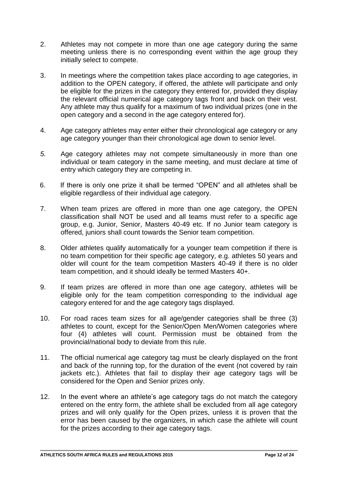- 2. Athletes may not compete in more than one age category during the same meeting unless there is no corresponding event within the age group they initially select to compete.
- 3. In meetings where the competition takes place according to age categories, in addition to the OPEN category, if offered, the athlete will participate and only be eligible for the prizes in the category they entered for, provided they display the relevant official numerical age category tags front and back on their vest. Any athlete may thus qualify for a maximum of two individual prizes (one in the open category and a second in the age category entered for).
- 4. Age category athletes may enter either their chronological age category or any age category younger than their chronological age down to senior level.
- *5.* Age category athletes may not compete simultaneously in more than one individual or team category in the same meeting, and must declare at time of entry which category they are competing in.
- 6. If there is only one prize it shall be termed "OPEN" and all athletes shall be eligible regardless of their individual age category.
- 7. When team prizes are offered in more than one age category, the OPEN classification shall NOT be used and all teams must refer to a specific age group, e.g. Junior, Senior, Masters 40-49 etc. If no Junior team category is offered, juniors shall count towards the Senior team competition.
- 8. Older athletes qualify automatically for a younger team competition if there is no team competition for their specific age category, e.g. athletes 50 years and older will count for the team competition Masters 40-49 if there is no older team competition, and it should ideally be termed Masters 40+.
- 9. If team prizes are offered in more than one age category, athletes will be eligible only for the team competition corresponding to the individual age category entered for and the age category tags displayed.
- 10. For road races team sizes for all age/gender categories shall be three (3) athletes to count, except for the Senior/Open Men/Women categories where four (4) athletes will count. Permission must be obtained from the provincial/national body to deviate from this rule.
- 11. The official numerical age category tag must be clearly displayed on the front and back of the running top, for the duration of the event (not covered by rain jackets etc.). Athletes that fail to display their age category tags will be considered for the Open and Senior prizes only.
- 12. In the event where an athlete's age category tags do not match the category entered on the entry form, the athlete shall be excluded from all age category prizes and will only qualify for the Open prizes, unless it is proven that the error has been caused by the organizers, in which case the athlete will count for the prizes according to their age category tags.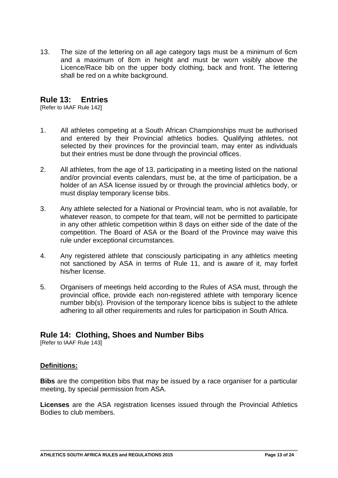13. The size of the lettering on all age category tags must be a minimum of 6cm and a maximum of 8cm in height and must be worn visibly above the Licence/Race bib on the upper body clothing, back and front. The lettering shall be red on a white background.

# **Rule 13: Entries**

[Refer to IAAF Rule 142]

- 1. All athletes competing at a South African Championships must be authorised and entered by their Provincial athletics bodies. Qualifying athletes, not selected by their provinces for the provincial team, may enter as individuals but their entries must be done through the provincial offices.
- 2. All athletes, from the age of 13, participating in a meeting listed on the national and/or provincial events calendars, must be, at the time of participation, be a holder of an ASA license issued by or through the provincial athletics body, or must display temporary license bibs.
- 3. Any athlete selected for a National or Provincial team, who is not available, for whatever reason, to compete for that team, will not be permitted to participate in any other athletic competition within 8 days on either side of the date of the competition. The Board of ASA or the Board of the Province may waive this rule under exceptional circumstances.
- 4. Any registered athlete that consciously participating in any athletics meeting not sanctioned by ASA in terms of Rule 11, and is aware of it, may forfeit his/her license.
- 5. Organisers of meetings held according to the Rules of ASA must, through the provincial office, provide each non-registered athlete with temporary licence number bib(s). Provision of the temporary licence bibs is subject to the athlete adhering to all other requirements and rules for participation in South Africa.

# **Rule 14: Clothing, Shoes and Number Bibs**

[Refer to IAAF Rule 143]

## **Definitions:**

**Bibs** are the competition bibs that may be issued by a race organiser for a particular meeting, by special permission from ASA.

**Licenses** are the ASA registration licenses issued through the Provincial Athletics Bodies to club members.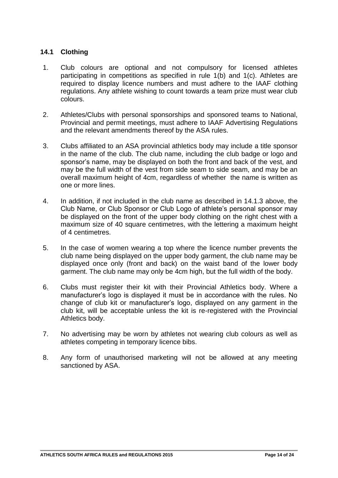# **14.1 Clothing**

- 1. Club colours are optional and not compulsory for licensed athletes participating in competitions as specified in rule 1(b) and 1(c). Athletes are required to display licence numbers and must adhere to the IAAF clothing regulations. Any athlete wishing to count towards a team prize must wear club colours.
- 2. Athletes/Clubs with personal sponsorships and sponsored teams to National, Provincial and permit meetings, must adhere to IAAF Advertising Regulations and the relevant amendments thereof by the ASA rules.
- 3. Clubs affiliated to an ASA provincial athletics body may include a title sponsor in the name of the club. The club name, including the club badge or logo and sponsor's name, may be displayed on both the front and back of the vest, and may be the full width of the vest from side seam to side seam, and may be an overall maximum height of 4cm, regardless of whether the name is written as one or more lines.
- 4. In addition, if not included in the club name as described in 14.1.3 above, the Club Name, or Club Sponsor or Club Logo of athlete's personal sponsor may be displayed on the front of the upper body clothing on the right chest with a maximum size of 40 square centimetres, with the lettering a maximum height of 4 centimetres.
- 5. In the case of women wearing a top where the licence number prevents the club name being displayed on the upper body garment, the club name may be displayed once only (front and back) on the waist band of the lower body garment. The club name may only be 4cm high, but the full width of the body.
- 6. Clubs must register their kit with their Provincial Athletics body. Where a manufacturer's logo is displayed it must be in accordance with the rules. No change of club kit or manufacturer's logo, displayed on any garment in the club kit, will be acceptable unless the kit is re-registered with the Provincial Athletics body.
- 7. No advertising may be worn by athletes not wearing club colours as well as athletes competing in temporary licence bibs.
- 8. Any form of unauthorised marketing will not be allowed at any meeting sanctioned by ASA.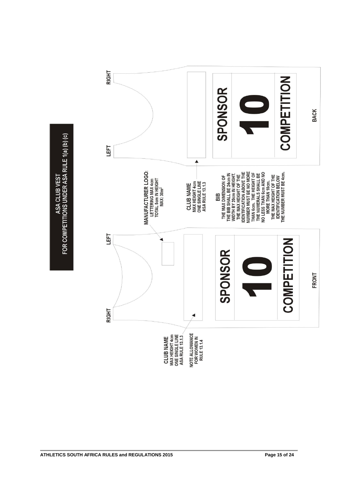ASA CLUB VEST<br>FOR COMPETITIONS UNDER ASA RULE 1(a) (b) (c)

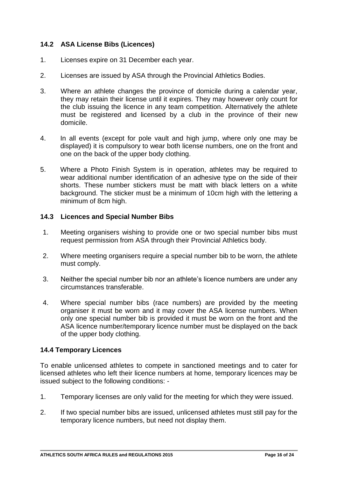# **14.2 ASA License Bibs (Licences)**

- 1. Licenses expire on 31 December each year.
- 2. Licenses are issued by ASA through the Provincial Athletics Bodies.
- 3. Where an athlete changes the province of domicile during a calendar year, they may retain their license until it expires. They may however only count for the club issuing the licence in any team competition. Alternatively the athlete must be registered and licensed by a club in the province of their new domicile.
- 4. In all events (except for pole vault and high jump, where only one may be displayed) it is compulsory to wear both license numbers, one on the front and one on the back of the upper body clothing.
- 5. Where a Photo Finish System is in operation, athletes may be required to wear additional number identification of an adhesive type on the side of their shorts. These number stickers must be matt with black letters on a white background. The sticker must be a minimum of 10cm high with the lettering a minimum of 8cm high.

## **14.3 Licences and Special Number Bibs**

- 1. Meeting organisers wishing to provide one or two special number bibs must request permission from ASA through their Provincial Athletics body.
- 2. Where meeting organisers require a special number bib to be worn, the athlete must comply.
- 3. Neither the special number bib nor an athlete's licence numbers are under any circumstances transferable.
- 4. Where special number bibs (race numbers) are provided by the meeting organiser it must be worn and it may cover the ASA license numbers. When only one special number bib is provided it must be worn on the front and the ASA licence number/temporary licence number must be displayed on the back of the upper body clothing.

## **14.4 Temporary Licences**

To enable unlicensed athletes to compete in sanctioned meetings and to cater for licensed athletes who left their licence numbers at home, temporary licences may be issued subject to the following conditions: -

- 1. Temporary licenses are only valid for the meeting for which they were issued.
- 2. If two special number bibs are issued, unlicensed athletes must still pay for the temporary licence numbers, but need not display them.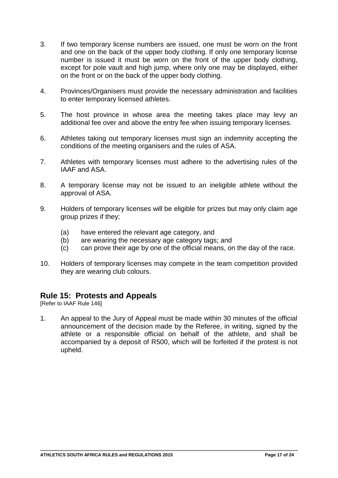- 3. If two temporary license numbers are issued, one must be worn on the front and one on the back of the upper body clothing. If only one temporary license number is issued it must be worn on the front of the upper body clothing, except for pole vault and high jump, where only one may be displayed, either on the front or on the back of the upper body clothing.
- 4. Provinces/Organisers must provide the necessary administration and facilities to enter temporary licensed athletes.
- 5. The host province in whose area the meeting takes place may levy an additional fee over and above the entry fee when issuing temporary licenses.
- 6. Athletes taking out temporary licenses must sign an indemnity accepting the conditions of the meeting organisers and the rules of ASA.
- 7. Athletes with temporary licenses must adhere to the advertising rules of the IAAF and ASA.
- 8. A temporary license may not be issued to an ineligible athlete without the approval of ASA.
- 9. Holders of temporary licenses will be eligible for prizes but may only claim age group prizes if they;
	- (a) have entered the relevant age category, and
	- (b) are wearing the necessary age category tags; and
	- (c) can prove their age by one of the official means, on the day of the race.
- 10. Holders of temporary licenses may compete in the team competition provided they are wearing club colours.

# **Rule 15: Protests and Appeals**

[Refer to IAAF Rule 146]

1. An appeal to the Jury of Appeal must be made within 30 minutes of the official announcement of the decision made by the Referee, in writing, signed by the athlete or a responsible official on behalf of the athlete, and shall be accompanied by a deposit of R500, which will be forfeited if the protest is not upheld.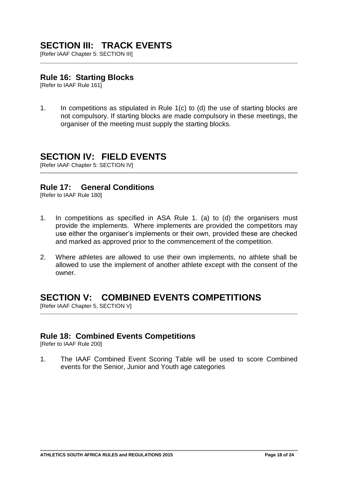# **SECTION III: TRACK EVENTS**

[Refer IAAF Chapter 5: SECTION III]

# **Rule 16: Starting Blocks**

[Refer to IAAF Rule 161]

1. In competitions as stipulated in Rule 1(c) to (d) the use of starting blocks are not compulsory. If starting blocks are made compulsory in these meetings, the organiser of the meeting must supply the starting blocks.

# **SECTION IV: FIELD EVENTS**

[Refer IAAF Chapter 5: SECTION IV]

# **Rule 17: General Conditions**

[Refer to IAAF Rule 180]

- 1. In competitions as specified in ASA Rule 1. (a) to (d) the organisers must provide the implements. Where implements are provided the competitors may use either the organiser's implements or their own, provided these are checked and marked as approved prior to the commencement of the competition.
- 2. Where athletes are allowed to use their own implements, no athlete shall be allowed to use the implement of another athlete except with the consent of the owner.

# **SECTION V: COMBINED EVENTS COMPETITIONS**

[Refer IAAF Chapter 5, SECTION V]

# **Rule 18: Combined Events Competitions**

[Refer to IAAF Rule 200]

1. The IAAF Combined Event Scoring Table will be used to score Combined events for the Senior, Junior and Youth age categories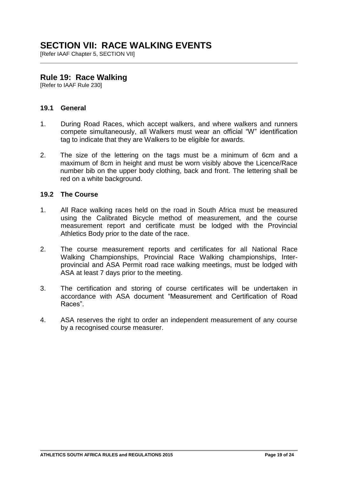# **SECTION VII: RACE WALKING EVENTS**

[Refer IAAF Chapter 5, SECTION VII]

# **Rule 19: Race Walking**

[Refer to IAAF Rule 230]

## **19.1 General**

- 1. During Road Races, which accept walkers, and where walkers and runners compete simultaneously, all Walkers must wear an official "W" identification tag to indicate that they are Walkers to be eligible for awards.
- 2. The size of the lettering on the tags must be a minimum of 6cm and a maximum of 8cm in height and must be worn visibly above the Licence/Race number bib on the upper body clothing, back and front. The lettering shall be red on a white background.

## **19.2 The Course**

- 1. All Race walking races held on the road in South Africa must be measured using the Calibrated Bicycle method of measurement, and the course measurement report and certificate must be lodged with the Provincial Athletics Body prior to the date of the race.
- 2. The course measurement reports and certificates for all National Race Walking Championships, Provincial Race Walking championships, Interprovincial and ASA Permit road race walking meetings, must be lodged with ASA at least 7 days prior to the meeting.
- 3. The certification and storing of course certificates will be undertaken in accordance with ASA document "Measurement and Certification of Road Races".
- 4. ASA reserves the right to order an independent measurement of any course by a recognised course measurer.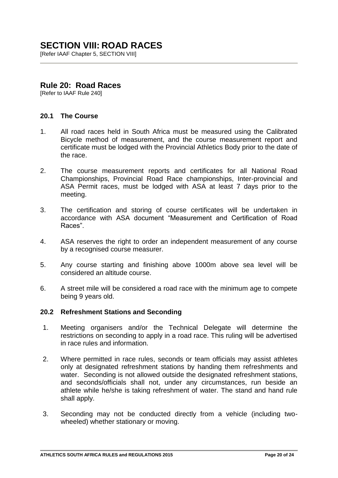# **SECTION VIII: ROAD RACES**

**IRefer IAAF Chapter 5, SECTION VIIII** 

# **Rule 20: Road Races**

[Refer to IAAF Rule 240]

## **20.1 The Course**

- 1. All road races held in South Africa must be measured using the Calibrated Bicycle method of measurement, and the course measurement report and certificate must be lodged with the Provincial Athletics Body prior to the date of the race.
- 2. The course measurement reports and certificates for all National Road Championships, Provincial Road Race championships, Inter-provincial and ASA Permit races, must be lodged with ASA at least 7 days prior to the meeting.
- 3. The certification and storing of course certificates will be undertaken in accordance with ASA document "Measurement and Certification of Road Races".
- 4. ASA reserves the right to order an independent measurement of any course by a recognised course measurer.
- 5. Any course starting and finishing above 1000m above sea level will be considered an altitude course.
- 6. A street mile will be considered a road race with the minimum age to compete being 9 years old.

## **20.2 Refreshment Stations and Seconding**

- 1. Meeting organisers and/or the Technical Delegate will determine the restrictions on seconding to apply in a road race. This ruling will be advertised in race rules and information.
- 2. Where permitted in race rules, seconds or team officials may assist athletes only at designated refreshment stations by handing them refreshments and water. Seconding is not allowed outside the designated refreshment stations, and seconds/officials shall not, under any circumstances, run beside an athlete while he/she is taking refreshment of water. The stand and hand rule shall apply.
- 3. Seconding may not be conducted directly from a vehicle (including twowheeled) whether stationary or moving.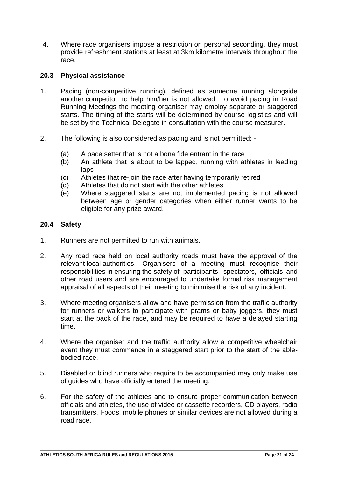4. Where race organisers impose a restriction on personal seconding, they must provide refreshment stations at least at 3km kilometre intervals throughout the race.

## **20.3 Physical assistance**

- 1. Pacing (non-competitive running), defined as someone running alongside another competitor to help him/her is not allowed. To avoid pacing in Road Running Meetings the meeting organiser may employ separate or staggered starts. The timing of the starts will be determined by course logistics and will be set by the Technical Delegate in consultation with the course measurer.
- 2. The following is also considered as pacing and is not permitted:
	- (a) A pace setter that is not a bona fide entrant in the race
	- (b) An athlete that is about to be lapped, running with athletes in leading laps
	- (c) Athletes that re-join the race after having temporarily retired
	- (d) Athletes that do not start with the other athletes
	- (e) Where staggered starts are not implemented pacing is not allowed between age or gender categories when either runner wants to be eligible for any prize award.

# **20.4 Safety**

- 1. Runners are not permitted to run with animals.
- 2. Any road race held on local authority roads must have the approval of the relevant local authorities. Organisers of a meeting must recognise their responsibilities in ensuring the safety of participants, spectators, officials and other road users and are encouraged to undertake formal risk management appraisal of all aspects of their meeting to minimise the risk of any incident.
- 3. Where meeting organisers allow and have permission from the traffic authority for runners or walkers to participate with prams or baby joggers, they must start at the back of the race, and may be required to have a delayed starting time.
- 4. Where the organiser and the traffic authority allow a competitive wheelchair event they must commence in a staggered start prior to the start of the ablebodied race.
- 5. Disabled or blind runners who require to be accompanied may only make use of guides who have officially entered the meeting.
- 6. For the safety of the athletes and to ensure proper communication between officials and athletes, the use of video or cassette recorders, CD players, radio transmitters, I-pods, mobile phones or similar devices are not allowed during a road race.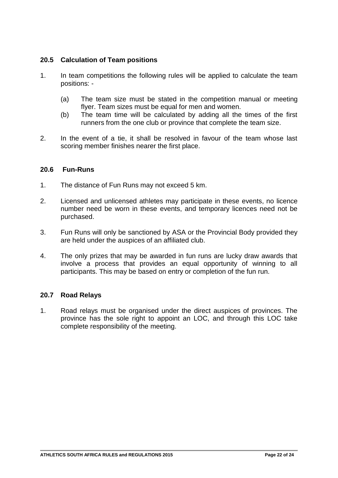# **20.5 Calculation of Team positions**

- 1. In team competitions the following rules will be applied to calculate the team positions: -
	- (a) The team size must be stated in the competition manual or meeting flyer. Team sizes must be equal for men and women.
	- (b) The team time will be calculated by adding all the times of the first runners from the one club or province that complete the team size.
- 2. In the event of a tie, it shall be resolved in favour of the team whose last scoring member finishes nearer the first place.

## **20.6 Fun-Runs**

- 1. The distance of Fun Runs may not exceed 5 km.
- 2. Licensed and unlicensed athletes may participate in these events, no licence number need be worn in these events, and temporary licences need not be purchased.
- 3. Fun Runs will only be sanctioned by ASA or the Provincial Body provided they are held under the auspices of an affiliated club.
- 4. The only prizes that may be awarded in fun runs are lucky draw awards that involve a process that provides an equal opportunity of winning to all participants. This may be based on entry or completion of the fun run.

## **20.7 Road Relays**

1. Road relays must be organised under the direct auspices of provinces. The province has the sole right to appoint an LOC, and through this LOC take complete responsibility of the meeting.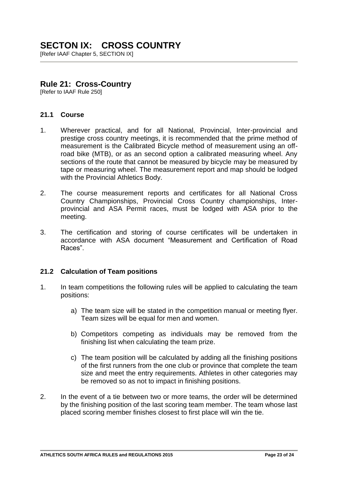# **SECTON IX: CROSS COUNTRY**

[Refer IAAF Chapter 5, SECTION IX]

# **Rule 21: Cross-Country**

[Refer to IAAF Rule 250]

## **21.1 Course**

- 1. Wherever practical, and for all National, Provincial, Inter-provincial and prestige cross country meetings, it is recommended that the prime method of measurement is the Calibrated Bicycle method of measurement using an offroad bike (MTB), or as an second option a calibrated measuring wheel. Any sections of the route that cannot be measured by bicycle may be measured by tape or measuring wheel. The measurement report and map should be lodged with the Provincial Athletics Body.
- 2. The course measurement reports and certificates for all National Cross Country Championships, Provincial Cross Country championships, Interprovincial and ASA Permit races, must be lodged with ASA prior to the meeting.
- 3. The certification and storing of course certificates will be undertaken in accordance with ASA document "Measurement and Certification of Road Races".

## **21.2 Calculation of Team positions**

- 1. In team competitions the following rules will be applied to calculating the team positions:
	- a) The team size will be stated in the competition manual or meeting flyer. Team sizes will be equal for men and women.
	- b) Competitors competing as individuals may be removed from the finishing list when calculating the team prize.
	- c) The team position will be calculated by adding all the finishing positions of the first runners from the one club or province that complete the team size and meet the entry requirements. Athletes in other categories may be removed so as not to impact in finishing positions.
- 2. In the event of a tie between two or more teams, the order will be determined by the finishing position of the last scoring team member. The team whose last placed scoring member finishes closest to first place will win the tie.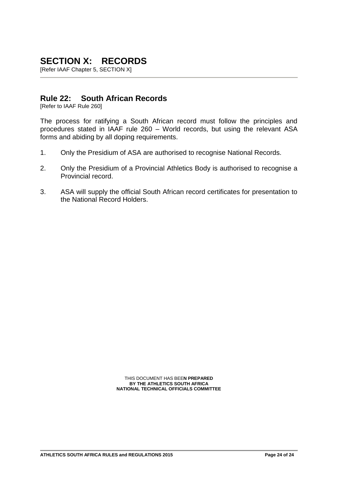# **SECTION X: RECORDS**

[Refer IAAF Chapter 5, SECTION X]

# **Rule 22: South African Records**

[Refer to IAAF Rule 260]

The process for ratifying a South African record must follow the principles and procedures stated in IAAF rule 260 – World records, but using the relevant ASA forms and abiding by all doping requirements.

- 1. Only the Presidium of ASA are authorised to recognise National Records.
- 2. Only the Presidium of a Provincial Athletics Body is authorised to recognise a Provincial record.
- 3. ASA will supply the official South African record certificates for presentation to the National Record Holders.

THIS DOCUMENT HAS BEE**N PREPARED BY THE ATHLETICS SOUTH AFRICA NATIONAL TECHNICAL OFFICIALS COMMITTEE**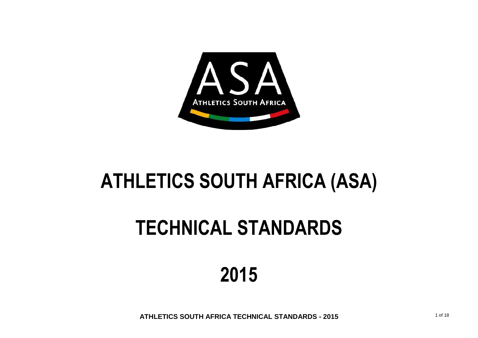

# **ATHLETICS SOUTH AFRICA (ASA)**

# **TECHNICAL STANDARDS**

# **2015**

**ATHLETICS SOUTH AFRICA TECHNICAL STANDARDS - 2015**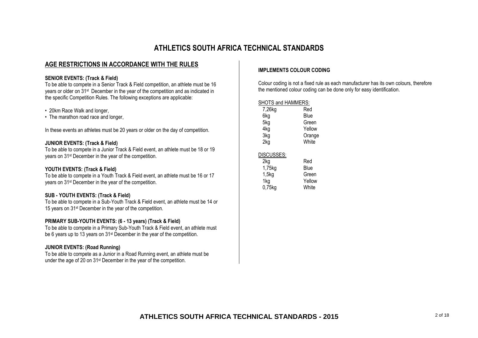# **ATHLETICS SOUTH AFRICA TECHNICAL STANDARDS**

## **AGE RESTRICTIONS IN ACCORDANCE WITH THE RULES**

#### **SENIOR EVENTS: (Track & Field)**

To be able to compete in a Senior Track & Field competition, an athlete must be 16 years or older on 31st December in the year of the competition and as indicated in the specific Competition Rules. The following exceptions are applicable:

#### • 20km Race Walk and longer,

• The marathon road race and longer,

In these events an athletes must be 20 years or older on the day of competition.

#### **JUNIOR EVENTS: (Track & Field)**

To be able to compete in a Junior Track & Field event, an athlete must be 18 or 19 years on 31st December in the year of the competition.

#### **YOUTH EVENTS: (Track & Field)**

To be able to compete in a Youth Track & Field event, an athlete must be 16 or 17 years on 31st December in the year of the competition.

#### **SUB - YOUTH EVENTS: (Track & Field)**

To be able to compete in a Sub-Youth Track & Field event, an athlete must be 14 or 15 years on 31st December in the year of the competition.

#### **PRIMARY SUB-YOUTH EVENTS: (6 - 13 years) (Track & Field)**

To be able to compete in a Primary Sub-Youth Track & Field event, an athlete must be 6 years up to 13 years on 31st December in the year of the competition.

#### **JUNIOR EVENTS: (Road Running)**

To be able to compete as a Junior in a Road Running event, an athlete must be under the age of 20 on 31st December in the year of the competition.

#### **IMPLEMENTS COLOUR CODING**

Colour coding is not a fixed rule as each manufacturer has its own colours, therefore the mentioned colour coding can be done only for easy identification.

SHOTS and HAMMERS:

| 7,26kg     | Red    |
|------------|--------|
| 6kg        | Blue   |
| 5kg        | Green  |
| 4kg        | Yellow |
| 3kg        | Orange |
| 2kg        | White  |
| DISCUSSES: |        |
| 2kg        | Red    |
| 1,75kg     | Blue   |
| 1,5kg      | Green  |
| 1kg        | Yellow |
| $0,75$ kg  | White  |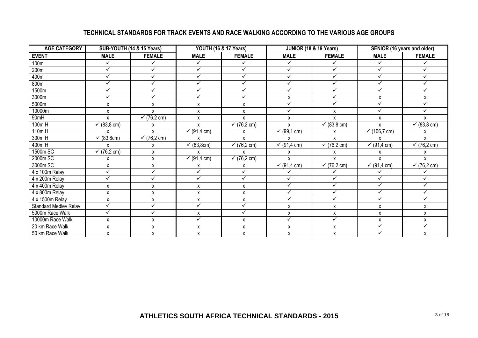# **TECHNICAL STANDARDS FOR TRACK EVENTS AND RACE WALKING ACCORDING TO THE VARIOUS AGE GROUPS**

| <b>AGE CATEGORY</b>   | SUB-YOUTH (14 & 15 Years) |               |              | <b>YOUTH (16 &amp; 17 Years)</b> | JUNIOR (18 & 19 Years) |                      | SENIOR (16 years and older) |                        |  |
|-----------------------|---------------------------|---------------|--------------|----------------------------------|------------------------|----------------------|-----------------------------|------------------------|--|
| <b>EVENT</b>          | <b>MALE</b>               | <b>FEMALE</b> | <b>MALE</b>  | <b>FEMALE</b>                    | <b>MALE</b>            | <b>FEMALE</b>        | <b>MALE</b>                 | <b>FEMALE</b>          |  |
| 100m                  | ✓                         | ✓             | ✓            | ✓                                | ✓                      | ✓                    | ✓                           |                        |  |
| 200m                  | $\checkmark$              | ✓             | $\checkmark$ | ✓                                | $\checkmark$           | $\checkmark$         | $\checkmark$                | ✓                      |  |
| 400m                  | $\checkmark$              | $\checkmark$  | $\checkmark$ | ✓                                | $\checkmark$           | $\checkmark$         | $\checkmark$                | ✓                      |  |
| 800m                  | $\checkmark$              | $\checkmark$  | $\checkmark$ | ✓                                | $\checkmark$           | ✓                    | ✓                           | ✓                      |  |
| 1500m                 | $\checkmark$              | ✓             | ✓            | ✓                                | ✓                      | ✓                    | ✓                           | ✓                      |  |
| 3000m                 | $\checkmark$              | $\checkmark$  | ✓            | ✓                                | X                      | $\checkmark$         | X                           | X                      |  |
| 5000m                 | X                         | X             | X            | X                                | $\checkmark$           | ✓                    | ✓                           | ✓                      |  |
| 10000m                | $\pmb{\mathsf{X}}$        | χ             | X            | X                                | ✓                      | x                    | ✓                           | $\checkmark$           |  |
| 90mH                  | $\mathsf{x}$              | √(76,2 cm)    | X            | X                                | X                      | X                    | X                           | $\mathsf{x}$           |  |
| $100m$ H              | ← $(83, 8 \text{ cm})$    | х             | X            | $(76, 2 \text{ cm})$<br>✓        | X                      | √ (83, 8 cm)         | X                           | ← $(83, 8 \text{ cm})$ |  |
| 110m H                | X                         | X             | √ (91,4 cm)  | X                                | √(99,1 cm)             | X                    | ✓ $(106, 7 \text{ cm})$     | X                      |  |
| 300mH                 | (83,8cm)                  | √(76,2 cm)    | X            | X                                | X                      | X                    | X                           | X                      |  |
| 400mH                 | X                         | X             | (83, 8cm)    | $(76, 2 \text{ cm})$<br>✓        | √(91,4 cm)             | $(76, 2 \text{ cm})$ | √(91,4 cm)                  | √ $(76, 2 cm)$         |  |
| 1500m SC              | √(76,2 cm)                | X             | X            | X                                | X                      | X                    | X                           | X                      |  |
| 2000m SC              | x                         | X             | √(91,4 cm)   | ✓ $(76, 2 cm)$                   | X                      | X                    | X                           | X                      |  |
| 3000m SC              | X                         | X             | X            | X                                | √(91,4 cm)             | √(76,2 cm)           | √(91,4 cm)                  | √(76,2 cm)             |  |
| 4 x 100m Relay        | $\checkmark$              | $\checkmark$  | $\checkmark$ | $\checkmark$                     | ✓                      |                      |                             |                        |  |
| 4 x 200m Relay        | $\checkmark$              | $\checkmark$  | $\checkmark$ | $\checkmark$                     | $\checkmark$           | $\checkmark$         | $\checkmark$                | $\checkmark$           |  |
| 4 x 400m Relay        | X                         | X             | X            | X                                | $\checkmark$           | ✓                    | ✓                           | ✓                      |  |
| 4 x 800m Relay        | X                         | X             | X            | X                                | ✓                      | ✓                    | ✓                           | ✓                      |  |
| 4 x 1500m Relay       | X                         | X             | X            | X                                | $\checkmark$           | $\checkmark$         | ✓                           | $\checkmark$           |  |
| Standard Medley Relay | $\checkmark$              | $\checkmark$  | $\checkmark$ | $\checkmark$                     | X                      | χ                    | X                           | $\mathsf{x}$           |  |
| 5000m Race Walk       | ✓                         | $\checkmark$  | X            | ✓                                | X                      | x                    | X                           | X                      |  |
| 10000m Race Walk      | X                         | X             | ✓            | X                                | $\checkmark$           | ✓                    | X                           | X                      |  |
| 20 km Race Walk       | X                         | X             | X            | X                                | X                      | x                    | ✓                           | ✓                      |  |
| 50 km Race Walk       | X                         | X             | X            | X                                | X                      | X                    | $\checkmark$                | Χ                      |  |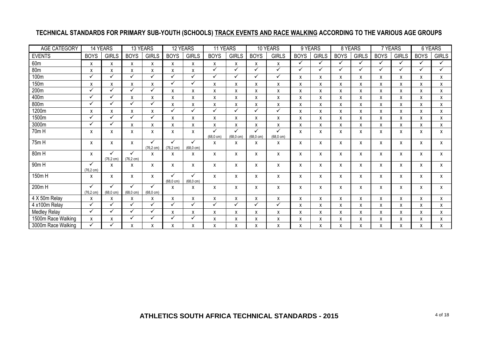# **TECHNICAL STANDARDS FOR PRIMARY SUB-YOUTH (SCHOOLS) TRACK EVENTS AND RACE WALKING ACCORDING TO THE VARIOUS AGE GROUPS**

| AGE CATEGORY        | 14 YEARS                  |                                     | 13 YEARS                             |                          | 12 YEARS             |                           | 11 YEARS    |                      |                      | 10 YEARS            | 9 YEARS     |              | 8 YEARS      |              | 7 YEARS     |              |              | 6 YEARS      |
|---------------------|---------------------------|-------------------------------------|--------------------------------------|--------------------------|----------------------|---------------------------|-------------|----------------------|----------------------|---------------------|-------------|--------------|--------------|--------------|-------------|--------------|--------------|--------------|
| <b>EVENTS</b>       | <b>BOYS</b>               | <b>GIRLS</b>                        | <b>BOYS</b>                          | <b>GIRLS</b>             | <b>BOYS</b>          | <b>GIRLS</b>              | <b>BOYS</b> | <b>GIRLS</b>         | <b>BOYS</b>          | <b>GIRLS</b>        | <b>BOYS</b> | <b>GIRLS</b> | <b>BOYS</b>  | <b>GIRLS</b> | <b>BOYS</b> | <b>GIRLS</b> | <b>BOYS</b>  | <b>GIRLS</b> |
| 60m                 | X                         | X                                   | x                                    | X                        | X                    | x                         | X           | X                    | X                    | X                   | ✓           | ✓            | $\checkmark$ | ✓            | ✓           | ✓            | ✓            | $\checkmark$ |
| 80 <sub>m</sub>     | X                         | X                                   | X                                    | X                        | X                    | X                         | ✓           | ✓                    | ✓                    | ✓                   | ✓           | ✓            | ✓            | $\checkmark$ | ✓           | ✓            | ✓            | ✓            |
| 100m                | ✓                         | ✓                                   | ✓                                    | ✓                        | ✓                    | ✓                         | ✓           | ✓                    | ✓                    | ✓                   | X           | X            | X            | X            | x           | X            | X            | X            |
| 150m                | X                         | X                                   | x                                    | X                        | ✓                    | ✓                         | x           | χ                    | X                    | Χ                   | X           | X            | x            | χ            | χ           | X            | X            | X            |
| 200m                | ✓                         | ✓                                   | ✓                                    | ✓                        | X                    | x                         | X           | χ                    | X                    | X                   | X           | X            | χ            | χ            | Χ           | X            | X            | X            |
| 400m                | ✓                         | $\checkmark$                        | X                                    | X                        | X                    | X                         | X           | χ                    | X                    | X                   | X           | X            | X            | X            | X           | X            | $\mathsf{x}$ | X            |
| 800m                | ✓                         | ✓                                   | ✓                                    | ✓                        | X                    | x                         | x           | χ                    | X                    | X                   | X           | X            | X            | X            | x           | X            | X            | X            |
| 1200m               | X                         | x                                   | χ                                    | Χ                        | $\checkmark$         | $\checkmark$              | ✓           | ✓                    | ✓                    | ✓                   | X           | x            | x            | χ            | χ           | X            | X            | X            |
| 1500m               | ✓                         | $\checkmark$                        | ✓                                    | ✓                        | X                    | x                         | X           | X                    | X                    | X                   | x           | X            | X            | X            | X           | X            | X            | X            |
| 3000m               | ✓                         | ✓                                   | X                                    | X                        | X                    | X                         | X           | X                    | X                    | X                   | X           | X            | X            | X            | x           | X            | X            | X            |
| 70m H               | X                         | х                                   | x                                    | X                        | X                    | X                         |             | ✓                    | ✓                    | ✓                   | X           | X            | X            | x            | x           | X            | X            | X            |
|                     |                           |                                     |                                      | ✓                        | $\checkmark$         | $\checkmark$              | (68,0 cm)   | $(68, 0 \text{ cm})$ | $(68, 0 \text{ cm})$ | $(68.0 \text{ cm})$ |             |              |              |              |             |              |              |              |
| 75m H               | X                         | X                                   | x                                    | $(76, 2 \text{ cm})$     | $(76, 2 \text{ cm})$ | $(68, 0 \text{ cm})$      | X           | Х                    | X                    | х                   | X           | Х            | x            | X            | x           | X            | X            | X            |
| $80m$ H             | X                         | ✓                                   | ✓                                    | X                        | x                    | x                         | X           | X                    | X                    | X                   | X           | X            | X            | X            | X           | X            | X            | X            |
|                     |                           | $(76, 2 \text{ cm})$                | $(76, 2 \text{ cm})$                 |                          |                      |                           |             |                      |                      |                     |             |              |              |              |             |              |              |              |
| $90m$ H             | ✓<br>$(76, 2 \text{ cm})$ | х                                   | x                                    | X                        | X                    | x                         | x           | X                    | X                    | X                   | X           | Х            | x            | x            | x           | X            | X            | $\mathsf{x}$ |
| 150m H              | X                         | X                                   | x                                    | X                        | $(68.0 \text{ cm})$  | ✓<br>$(68, 0 \text{ cm})$ | X           | X                    | X                    | X                   | X           | Х            | x            | x            | x           | X            | X            | X            |
| $200m$ H            | ✓<br>$(76.2 \text{ cm})$  | $\checkmark$<br>$(68.0 \text{ cm})$ | $\checkmark$<br>$(68, 0 \text{ cm})$ | ✓<br>$(68.0 \text{ cm})$ | Χ                    | x                         | x           | X                    | X                    | x                   | X           | Х            | x            | x            | x           | X            | X            | X            |
| 4 X 50m Relay       | X                         | X                                   | X                                    | X                        | X                    | X                         | X           | χ                    | X                    | X                   | X           | X            | X            | X            | x           | X            | X            | $\mathsf{x}$ |
| 4 x100m Relay       | ✓                         | ✓                                   | ✓                                    | ✓                        | $\checkmark$         | ✓                         | ✓           | ✓                    | ✓                    | ✓                   | x           | X            | X            | χ            | χ           | X            | X            | X            |
| <b>Medley Relay</b> | ✓                         | $\checkmark$                        | ✓                                    | ✓                        | X                    | x                         | x           | X                    | X                    | X                   | X           | X            | x            | χ            | χ           | X            | X            | X            |
| 1500m Race Walking  | X                         | x                                   | ✓                                    | ✓                        | ✓                    | ✓                         | X           | X                    | X                    | x                   | x           | X            | X            | X            | χ           | X            | X            | X            |
| 3000m Race Walking  | ✓                         |                                     | X                                    | X                        | X                    | X                         | X           | X                    | X                    | X                   | X           | X            | X            | X            | X           | X            | X            | X            |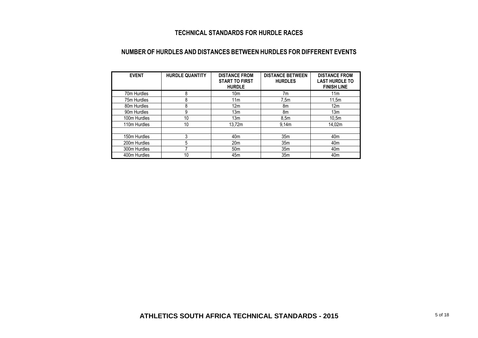# **TECHNICAL STANDARDS FOR HURDLE RACES**

### **NUMBER OF HURDLES AND DISTANCES BETWEEN HURDLES FOR DIFFERENT EVENTS**

| <b>EVENT</b> | <b>HURDLE QUANTITY</b> | <b>DISTANCE FROM</b><br><b>START TO FIRST</b><br><b>HURDLE</b> | <b>DISTANCE BETWEEN</b><br><b>HURDLES</b> | <b>DISTANCE FROM</b><br><b>LAST HURDLE TO</b><br><b>FINISH LINE</b> |
|--------------|------------------------|----------------------------------------------------------------|-------------------------------------------|---------------------------------------------------------------------|
| 70m Hurdles  | 8                      | 10 <sub>m</sub>                                                | 7m                                        | 11 <sub>m</sub>                                                     |
| 75m Hurdles  | 8                      | 11m                                                            | 7.5m                                      | 11.5m                                                               |
| 80m Hurdles  | 8                      | 12 <sub>m</sub>                                                | 8m                                        | 12 <sub>m</sub>                                                     |
| 90m Hurdles  | 9                      | 13m                                                            | 8m                                        | 13m                                                                 |
| 100m Hurdles | 10                     | 13m                                                            | 8.5 <sub>m</sub>                          | 10,5m                                                               |
| 110m Hurdles | 10                     | 13.72m                                                         | 9.14 <sub>m</sub>                         | 14.02m                                                              |
| 150m Hurdles | 3                      | 40 <sub>m</sub>                                                | 35 <sub>m</sub>                           | 40 <sub>m</sub>                                                     |
| 200m Hurdles | 5                      | 20 <sub>m</sub>                                                | 35 <sub>m</sub>                           | 40 <sub>m</sub>                                                     |
| 300m Hurdles |                        | 50 <sub>m</sub>                                                | 35 <sub>m</sub>                           | 40 <sub>m</sub>                                                     |
| 400m Hurdles | 10                     | 45 <sub>m</sub>                                                | 35 <sub>m</sub>                           | 40 <sub>m</sub>                                                     |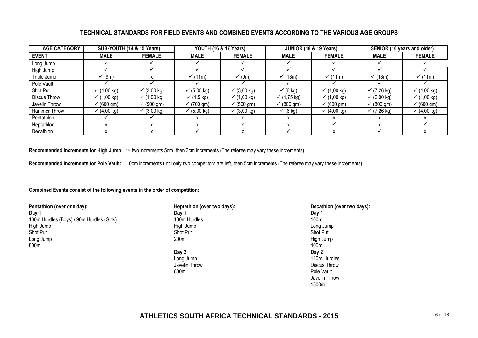## **TECHNICAL STANDARDS FOR FIELD EVENTS AND COMBINED EVENTS ACCORDING TO THE VARIOUS AGE GROUPS**

| <b>AGE CATEGORY</b> | SUB-YOUTH (14 & 15 Years) |                       |                       | <b>YOUTH (16 &amp; 17 Years)</b> |                     | <b>JUNIOR (18 &amp; 19 Years)</b> | SENIOR (16 years and older) |                       |  |
|---------------------|---------------------------|-----------------------|-----------------------|----------------------------------|---------------------|-----------------------------------|-----------------------------|-----------------------|--|
| <b>EVENT</b>        | <b>MALE</b>               | <b>FEMALE</b>         | <b>MALE</b>           | <b>FEMALE</b>                    | <b>MALE</b>         | <b>FEMALE</b>                     | <b>MALE</b>                 | <b>FEMALE</b>         |  |
| Long Jump           |                           |                       |                       |                                  |                     |                                   |                             |                       |  |
| High Jump           |                           |                       |                       |                                  |                     |                                   |                             |                       |  |
| Triple Jump         | (9m)                      |                       | (11m)                 | (9m)                             | (13m)               | (11m)                             | (13m)                       | (11m)                 |  |
| Pole Vault          |                           |                       |                       |                                  |                     |                                   |                             |                       |  |
| Shot Put            | $(4,00 \text{ kg})$       | ✓ $(3,00 \text{ kg})$ | √ (5,00 kg)           | $√$ (3,00 kg)                    | $\checkmark$ (6 kg) | $(4,00 \text{ kg})$               | √(7,26 kg)                  | √(4,00 kg)            |  |
| Discus Throw        | √(1,00 kg)                | ✓ $(1,00 \text{ kg})$ | √(1.5 kg)             | √(1,00 kg)                       | √(1,75 kg)          | √(1,00 kg)                        | √(2,00 kg)                  | √(1,00 kg)            |  |
| Javelin Throw       | $\sqrt{}$ (600 gm)        | $\checkmark$ (500 gm) | $\bar{v}$ (700 gm)    | $(500 \text{ gm})$               | $(800 \text{ gm})$  | $\checkmark$ (600 gm)             | $\sqrt{\ }$ (800 gm)        | $\checkmark$ (600 gm) |  |
| Hammer Throw        | ✓ $(4,00 \text{ kg})$     | ✓ $(3,00 \text{ kg})$ | ✓ $(5,00 \text{ kg})$ | ✓ $(3,00 \text{ kg})$            | $\checkmark$ (6 kg) | $(4,00 \text{ kg})$               | √(7,26 kg)                  | √(4,00 kg)            |  |
| Pentathlon          |                           |                       |                       |                                  | x                   |                                   |                             |                       |  |
| Heptathlon          |                           |                       |                       |                                  |                     |                                   |                             |                       |  |
| Decathlon           |                           |                       |                       |                                  |                     |                                   |                             |                       |  |

**Recommended increments for High Jump:** 1<sup>st</sup> two increments 5cm, then 3cm increments (The referee may vary these increments)

**Recommended increments for Pole Vault:** 10cm increments until only two competitors are left, then 5cm increments (The referee may vary these increments)

#### **Combined Events consist of the following events in the order of competition:**

| Pentathlon (over one day):                | Heptathlon (over two days): | <b>Decathlon</b> |  |  |
|-------------------------------------------|-----------------------------|------------------|--|--|
| Day 1                                     | Dav 1                       | Dav '            |  |  |
| 100m Hurdles (Boys) / 90m Hurdles (Girls) | 100m Hurdles                | 100m             |  |  |
| High Jump                                 | High Jump                   | Long Jump        |  |  |
| Shot Put                                  | <b>Shot Put</b>             | <b>Shot Put</b>  |  |  |
| Long Jump                                 | 200m                        | High Jump        |  |  |
| 800m                                      |                             | 400m             |  |  |

**Day 2 Day 2** Long Jump 110m Hurdles Javelin Throw Discus Throw Discus Throw Discus Throw Discus Throw Discus Throw Discus Throw Discus Throw Discus Throw Discus Throw Discus Throw Discus Throw Discus Throw Discus Throw Discus Throw Discus Throw Discussion Di

**Pentathlon (over two days): Pecathlon (over two days): Decathlon (over two days): Day 1** Pole Vault Javelin Throw 1500m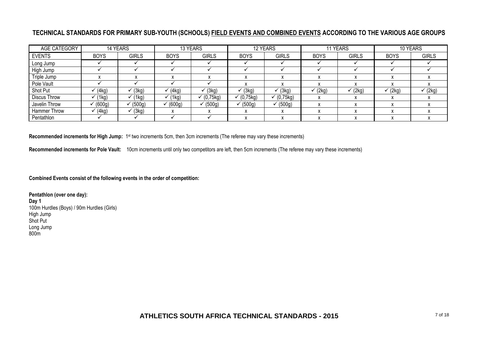# **TECHNICAL STANDARDS FOR PRIMARY SUB-YOUTH (SCHOOLS) FIELD EVENTS AND COMBINED EVENTS ACCORDING TO THE VARIOUS AGE GROUPS**

| AGE CATEGORY        |             | 14 YEARS     | 13 YEARS    |              |              | 12 YEARS     |             | 11 YEARS     | 10 YEARS    |              |
|---------------------|-------------|--------------|-------------|--------------|--------------|--------------|-------------|--------------|-------------|--------------|
| <b>EVENTS</b>       | <b>BOYS</b> | <b>GIRLS</b> | <b>BOYS</b> | <b>GIRLS</b> | <b>BOYS</b>  | <b>GIRLS</b> | <b>BOYS</b> | <b>GIRLS</b> | <b>BOYS</b> | <b>GIRLS</b> |
| Long Jump           |             |              |             |              |              |              |             |              |             |              |
| High Jump           |             |              |             |              |              |              |             |              |             |              |
| Triple Jump         |             |              |             |              |              |              |             |              |             |              |
| Pole Vault          |             |              |             |              |              |              |             |              |             |              |
| Shot Put            | (4kg)       | (3kg)        | (4kg)       | (3kg)        | (3kg)        | (3kg)        | (2kg)       | (2kg)        | (2kg)       | (2kg)        |
| <b>Discus Throw</b> | (1kg)       | (1kg)        | (1kg)       | (0,75kg)     | ✓ $(0,75kg)$ | (0,75kg)     |             |              |             |              |
| Javelin Throw       | (600g)      | (500g)       | (600g)      | (500g)       | (500q)       | (500q)       |             |              |             |              |
| <b>Hammer Throw</b> | (4kg)       | (3kg)        |             |              |              |              |             |              |             |              |
| Pentathlon          |             |              |             |              |              |              |             |              |             |              |

**Recommended increments for High Jump:** 1<sup>st</sup> two increments 5cm, then 3cm increments (The referee may vary these increments)

**Recommended increments for Pole Vault:** 10cm increments until only two competitors are left, then 5cm increments (The referee may vary these increments)

**Combined Events consist of the following events in the order of competition:**

**Pentathlon (over one day): Day 1** 100m Hurdles (Boys) / 90m Hurdles (Girls) High Jump Shot Put Long Jump 800m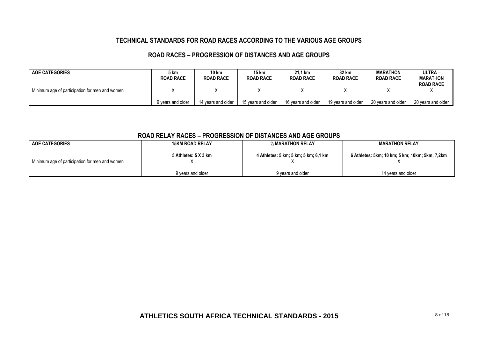## **TECHNICAL STANDARDS FOR ROAD RACES ACCORDING TO THE VARIOUS AGE GROUPS**

## **ROAD RACES – PROGRESSION OF DISTANCES AND AGE GROUPS**

| <b>AGE CATEGORIES</b>                          | ວ km<br><b>ROAD RACE</b> | 10 km<br><b>ROAD RACE</b> | 15 km<br><b>ROAD RACE</b> | 21.1 km<br><b>ROAD RACE</b> | 32 km<br><b>ROAD RACE</b> | <b>MARATHON</b><br><b>ROAD RACE</b> | ULTRA-<br><b>MARATHON</b><br><b>ROAD RACE</b> |
|------------------------------------------------|--------------------------|---------------------------|---------------------------|-----------------------------|---------------------------|-------------------------------------|-----------------------------------------------|
| Minimum age of participation for men and women |                          |                           |                           |                             |                           |                                     |                                               |
|                                                | 9 years and older        | 14 years and older        | 15 years and older        | 16 years and older          | 19 vears and older        | 20 vears and older                  | 20 vears and older                            |

#### **ROAD RELAY RACES – PROGRESSION OF DISTANCES AND AGE GROUPS**

| <b>AGE CATEGORIES</b><br><b>15KM ROAD RELAY</b> |                      | 1/2 MARATHON RELAY                   | <b>MARATHON RELAY</b>                          |  |
|-------------------------------------------------|----------------------|--------------------------------------|------------------------------------------------|--|
|                                                 | 5 Athletes: 5 X 3 km | 4 Athletes: 5 km: 5 km: 5 km: 6.1 km | 6 Athletes: 5km; 10 km; 5 km; 10km; 5km; 7,2km |  |
| Minimum age of participation for men and women  |                      |                                      |                                                |  |
|                                                 | 9 years and older    | 9 years and older                    | 14 years and older                             |  |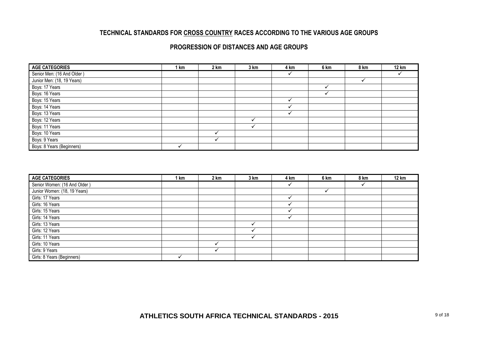# **TECHNICAL STANDARDS FOR CROSS COUNTRY RACES ACCORDING TO THE VARIOUS AGE GROUPS**

## **PROGRESSION OF DISTANCES AND AGE GROUPS**

| <b>AGE CATEGORIES</b>      | 1 km | 2 km | 3 km | 4 km | 6 km | 8 km | <b>12 km</b> |
|----------------------------|------|------|------|------|------|------|--------------|
| Senior Men: (16 And Older) |      |      |      |      |      |      |              |
| Junior Men: (18, 19 Years) |      |      |      |      |      |      |              |
| Boys: 17 Years             |      |      |      |      |      |      |              |
| Boys: 16 Years             |      |      |      |      |      |      |              |
| Boys: 15 Years             |      |      |      |      |      |      |              |
| Boys: 14 Years             |      |      |      |      |      |      |              |
| Boys: 13 Years             |      |      |      |      |      |      |              |
| Boys: 12 Years             |      |      |      |      |      |      |              |
| Boys: 11 Years             |      |      |      |      |      |      |              |
| Boys: 10 Years             |      |      |      |      |      |      |              |
| Boys: 9 Years              |      |      |      |      |      |      |              |
| Boys: 8 Years (Beginners)  |      |      |      |      |      |      |              |

| <b>AGE CATEGORIES</b>        | l km | 2 km | 3 km | 4 km | 6 km | 8 km | <b>12 km</b> |
|------------------------------|------|------|------|------|------|------|--------------|
| Senior Women: (16 And Older) |      |      |      |      |      |      |              |
| Junior Women: (18, 19 Years) |      |      |      |      |      |      |              |
| Girls: 17 Years              |      |      |      |      |      |      |              |
| Girls: 16 Years              |      |      |      |      |      |      |              |
| Girls: 15 Years              |      |      |      |      |      |      |              |
| Girls: 14 Years              |      |      |      |      |      |      |              |
| Girls: 13 Years              |      |      |      |      |      |      |              |
| Girls: 12 Years              |      |      |      |      |      |      |              |
| Girls: 11 Years              |      |      |      |      |      |      |              |
| Girls: 10 Years              |      |      |      |      |      |      |              |
| Girls: 9 Years               |      |      |      |      |      |      |              |
| Girls: 8 Years (Beginners)   |      |      |      |      |      |      |              |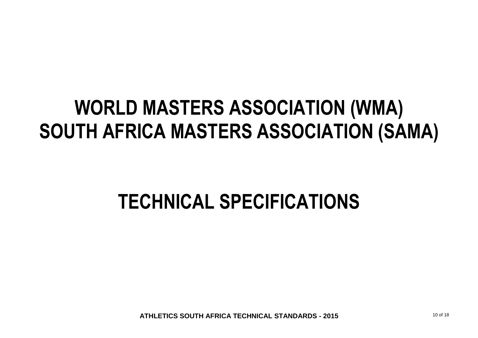# **WORLD MASTERS ASSOCIATION (WMA) SOUTH AFRICA MASTERS ASSOCIATION (SAMA)**

# **TECHNICAL SPECIFICATIONS**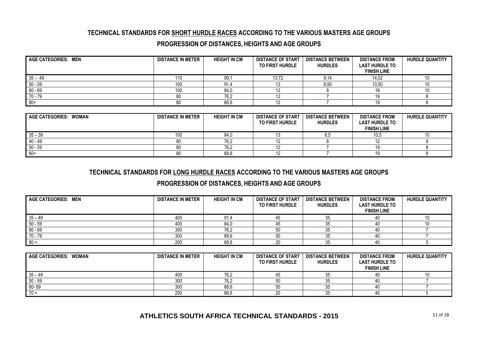## **TECHNICAL STANDARDS FOR SHORT HURDLE RACES ACCORDING TO THE VARIOUS MASTERS AGE GROUPS**

## **PROGRESSION OF DISTANCES, HEIGHTS AND AGE GROUPS**

| AGE CATEGORIES: MEN | <b>DISTANCE IN METER</b> | <b>HEIGHT IN CM</b> | <b>DISTANCE OF START</b><br><b>TO FIRST HURDLE</b> | <b>DISTANCE BETWEEN</b><br><b>HURDLES</b> | <b>DISTANCE FROM</b><br><b>LAST HURDLE TO</b><br><b>FINISH LINE</b> | <b>HURDLE QUANTITY</b> |
|---------------------|--------------------------|---------------------|----------------------------------------------------|-------------------------------------------|---------------------------------------------------------------------|------------------------|
| $35 - 49$           | 110                      | 99.7                | 13,72                                              | 9.14                                      | 14,02                                                               | 10                     |
| $50 - 59$           | 100                      | 91.4                | ں ا                                                | 8,50                                      | 10,50                                                               | 10                     |
| $60 - 69$           | 100                      | 84.0                |                                                    |                                           |                                                                     | 10                     |
| 70 - 79             |                          | 76,2                |                                                    |                                           |                                                                     |                        |
| $80+$               |                          | 68,6                |                                                    |                                           |                                                                     |                        |

| AGE CATEGORIES: WOMAN | <b>DISTANCE IN METER</b> | <b>HEIGHT IN CM</b> | <b>DISTANCE OF START</b><br><b>TO FIRST HURDLE</b> | <b>DISTANCE BETWEEN</b><br><b>HURDLES</b> | <b>DISTANCE FROM</b><br><b>LAST HURDLE TO</b><br><b>FINISH LINE</b> | <b>HURDLE QUANTITY</b> |
|-----------------------|--------------------------|---------------------|----------------------------------------------------|-------------------------------------------|---------------------------------------------------------------------|------------------------|
| $35 - 39$             | 100                      | 84.0                |                                                    |                                           | 10.5                                                                |                        |
| $40 - 49$             | 80                       | 76.2                |                                                    |                                           |                                                                     |                        |
| 50 - 59               | 80                       | 76,2                | 14                                                 |                                           |                                                                     |                        |
| $60+$                 | 80                       | 68,6                | 14                                                 |                                           | 10.                                                                 |                        |

## **TECHNICAL STANDARDS FOR LONG HURDLE RACES ACCORDING TO THE VARIOUS MASTERS AGE GROUPS**

### **PROGRESSION OF DISTANCES, HEIGHTS AND AGE GROUPS**

| <b>AGE CATEGORIES: MEN</b> | <b>DISTANCE IN METER</b> | <b>HEIGHT IN CM</b> | <b>DISTANCE OF START</b><br>TO FIRST HURDLE | <b>DISTANCE BETWEEN</b><br><b>HURDLES</b> | <b>DISTANCE FROM</b><br><b>LAST HURDLE TO</b><br><b>FINISH LINE</b> | <b>HURDLE QUANTITY</b> |
|----------------------------|--------------------------|---------------------|---------------------------------------------|-------------------------------------------|---------------------------------------------------------------------|------------------------|
| $35 - 49$                  | 400                      | 91,4                | 45                                          |                                           | 40                                                                  |                        |
| $50 - 59$                  | 400                      | 84.C                | 45                                          |                                           |                                                                     |                        |
| $60 - 69$                  | 300                      | 76,2                | 50                                          |                                           |                                                                     |                        |
| $70 - 79$                  | 300                      | 68,6                | 50                                          |                                           | 40                                                                  |                        |
| - 80 +                     | 200                      | 68,6                | 20                                          |                                           | 40                                                                  |                        |

| AGE CATEGORIES: WOMAN | <b>DISTANCE IN METER</b> | <b>HEIGHT IN CM</b> | <b>DISTANCE OF START</b><br>TO FIRST HURDLE | <b>DISTANCE BETWEEN</b><br><b>HURDLES</b> | <b>DISTANCE FROM</b><br><b>LAST HURDLE TO</b><br><b>FINISH LINE</b> | <b>HURDLE QUANTITY</b> |
|-----------------------|--------------------------|---------------------|---------------------------------------------|-------------------------------------------|---------------------------------------------------------------------|------------------------|
| $35 - 49$             | 400                      | 76,2                | 45                                          |                                           |                                                                     | 10                     |
| $50 - 59$             | 300                      | 76.2                | 50                                          |                                           |                                                                     |                        |
| $60 - 69$             | 300                      | 68,6                | 50                                          |                                           |                                                                     |                        |
| $70 +$                | 200                      | 68,6                | 20                                          |                                           | 40                                                                  |                        |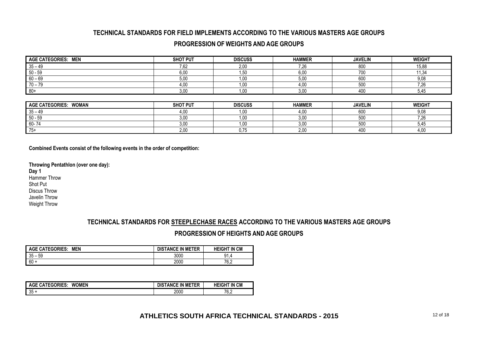## **TECHNICAL STANDARDS FOR FIELD IMPLEMENTS ACCORDING TO THE VARIOUS MASTERS AGE GROUPS**

## **PROGRESSION OF WEIGHTS AND AGE GROUPS**

| AGE CATEGORIES: MEN   | <b>SHOT PUT</b> | <b>DISCUSS</b> | <b>HAMMER</b> | <b>JAVELIN</b> | <b>WEIGHT</b> |
|-----------------------|-----------------|----------------|---------------|----------------|---------------|
| $35 - 49$             | 7,62            | 2,00           | 7,26          | 800            | 15,88         |
| $50 - 59$             | 6.00            | 1,50           | 6,00          | 700            | 11,34         |
| $60 - 69$             | 5,00            | 1,00           | 5,00          | 600            | 9,08          |
| $70 - 79$             | 4,00            | 1,00           | 4,00          | 500            | 7,26          |
| $80+$                 | 3,00            | 1,00           | 3,00          | 400            | 5,45          |
|                       |                 |                |               |                |               |
| AGE CATEGORIES: WOMAN | <b>SHOT PUT</b> | <b>DISCUSS</b> | <b>HAMMER</b> | <b>JAVELIN</b> | <b>WEIGHT</b> |
| $35 - 49$             | 4,00            | 1,00           | 4,00          | 600            | 9,08          |
| $50 - 59$             | 3.00            | 1,00           | 3,00          | 500            | 7,26          |
| 60-74                 | 3,00            | 1,00           | 3,00          | 500            | 5,45          |
| $75+$                 | 2,00            | 0,75           | 2,00          | 400            | 4,00          |

**Combined Events consist of the following events in the order of competition:**

**Throwing Pentathlon (over one day):**

**Day 1** Hammer Throw Shot Put Discus Throw Javelin Throw Weight Throw

# **TECHNICAL STANDARDS FOR STEEPLECHASE RACES ACCORDING TO THE VARIOUS MASTERS AGE GROUPS PROGRESSION OF HEIGHTS AND AGE GROUPS**

| <b>AGE CATEGORIES:</b><br><b>MEN</b> | <b>DISTANCE IN METER</b> | <b>HEIGHT IN CM</b> |
|--------------------------------------|--------------------------|---------------------|
| 35<br>59<br>-                        | 3000                     | 91.4                |
| $60 +$                               | 2000                     | 76.2                |

| <b>WOMEN</b><br><b>AGE CATEGORIES:</b> | <b>DISTANCE IN METER</b> | <b>HEIGHT IN CM</b> |
|----------------------------------------|--------------------------|---------------------|
| 35                                     | 2000                     | 76 2<br>v.z         |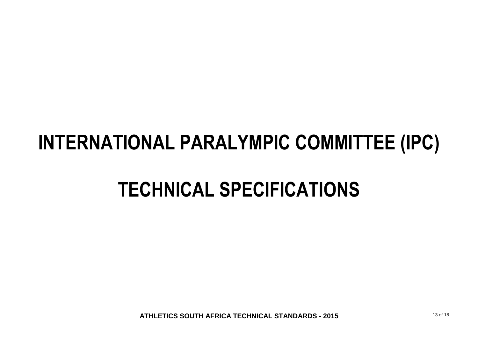# **INTERNATIONAL PARALYMPIC COMMITTEE (IPC)**

# **TECHNICAL SPECIFICATIONS**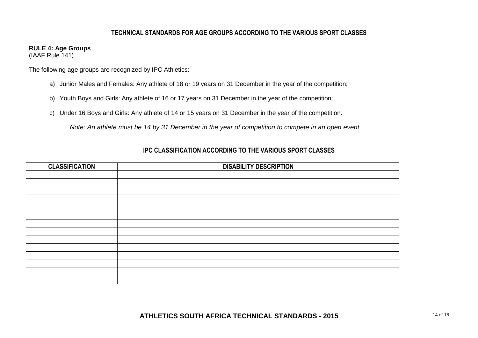## **TECHNICAL STANDARDS FOR AGE GROUPS ACCORDING TO THE VARIOUS SPORT CLASSES**

## **RULE 4: Age Groups**

(IAAF Rule 141)

The following age groups are recognized by IPC Athletics:

- a) Junior Males and Females: Any athlete of 18 or 19 years on 31 December in the year of the competition;
- b) Youth Boys and Girls: Any athlete of 16 or 17 years on 31 December in the year of the competition;
- c) Under 16 Boys and Girls: Any athlete of 14 or 15 years on 31 December in the year of the competition.

*Note: An athlete must be 14 by 31 December in the year of competition to compete in an open event.*

| <b>CLASSIFICATION</b> | <b>DISABILITY DESCRIPTION</b> |
|-----------------------|-------------------------------|
|                       |                               |
|                       |                               |
|                       |                               |
|                       |                               |
|                       |                               |
|                       |                               |
|                       |                               |
|                       |                               |
|                       |                               |
|                       |                               |
|                       |                               |
|                       |                               |
|                       |                               |
|                       |                               |

# **IPC CLASSIFICATION ACCORDING TO THE VARIOUS SPORT CLASSES**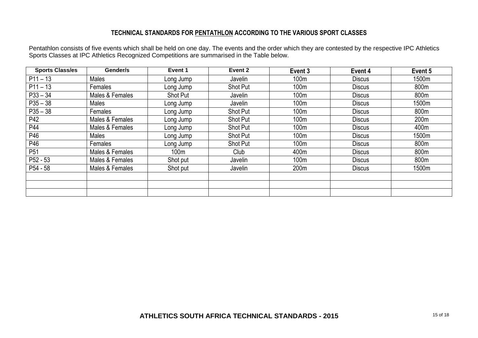## **TECHNICAL STANDARDS FOR PENTATHLON ACCORDING TO THE VARIOUS SPORT CLASSES**

Pentathlon consists of five events which shall be held on one day. The events and the order which they are contested by the respective IPC Athletics Sports Classes at IPC Athletics Recognized Competitions are summarised in the Table below.

| <b>Sports Class/es</b> | Gender/s        | Event 1   | Event 2         | Event 3          | Event 4       | Event 5 |
|------------------------|-----------------|-----------|-----------------|------------------|---------------|---------|
| $P11 - 13$             | <b>Males</b>    | Long Jump | Javelin         | 100m             | <b>Discus</b> | 1500m   |
| $P11 - 13$             | Females         | Long Jump | <b>Shot Put</b> | 100 <sub>m</sub> | <b>Discus</b> | 800m    |
| $P33 - 34$             | Males & Females | Shot Put  | Javelin         | 100m             | <b>Discus</b> | 800m    |
| $P35 - 38$             | Males           | Long Jump | Javelin         | 100m             | <b>Discus</b> | 1500m   |
| $P35 - 38$             | Females         | Long Jump | Shot Put        | 100 <sub>m</sub> | <b>Discus</b> | 800m    |
| P42                    | Males & Females | Long Jump | Shot Put        | 100m             | <b>Discus</b> | 200m    |
| P44                    | Males & Females | Long Jump | Shot Put        | 100 <sub>m</sub> | Discus        | 400m    |
| P46                    | Males           | Long Jump | Shot Put        | 100 <sub>m</sub> | <b>Discus</b> | 1500m   |
| P46                    | Females         | Long Jump | Shot Put        | 100m             | <b>Discus</b> | 800m    |
| P <sub>51</sub>        | Males & Females | 100m      | Club            | 400m             | <b>Discus</b> | 800m    |
| $P52 - 53$             | Males & Females | Shot put  | Javelin         | 100 <sub>m</sub> | <b>Discus</b> | 800m    |
| P54 - 58               | Males & Females | Shot put  | Javelin         | 200 <sub>m</sub> | <b>Discus</b> | 1500m   |
|                        |                 |           |                 |                  |               |         |
|                        |                 |           |                 |                  |               |         |
|                        |                 |           |                 |                  |               |         |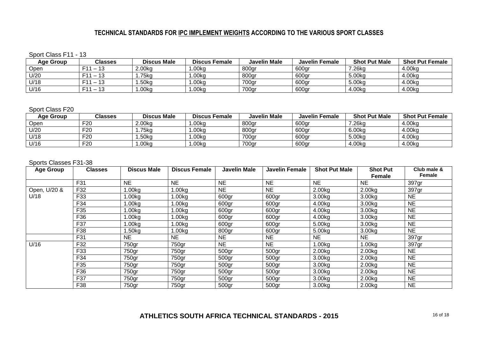# **TECHNICAL STANDARDS FOR IPC IMPLEMENT WEIGHTS ACCORDING TO THE VARIOUS SPORT CLASSES**

Sport Class F11 - 13

| Age Group   | Classes                                          | <b>Discus Male</b> | <b>Discus Female</b> | <b>Javelin Male</b> | Javelin Female | <b>Shot Put Male</b> | <b>Shot Put Female</b> |
|-------------|--------------------------------------------------|--------------------|----------------------|---------------------|----------------|----------------------|------------------------|
| <b>Jpen</b> | $\sim$<br>C44<br>$\overline{\phantom{0}}$<br>ن ا | 2.00 <sub>kq</sub> | .00kg                | 800gr               | 600gr          | <sup>7</sup> .26kg   | 4.00kg                 |
| U/20        | - 40<br><b>E</b> <sub>44</sub><br>10             | .75kg              | .00ka                | 800gr               | 600gr          | 5.00kg               | 4.00kg                 |
| U/18        | $\overline{4}$<br>C44<br>10                      | .50kg              | .00kg                | 700gr               | 600gr          | 5.00kg               | 4.00ko                 |
| U/16        | $\sim$<br>C11<br>ں ا                             | .00 <sub>kq</sub>  | .00kg                | 700gr               | 600gr          | 4.00kg               | 4.00kg                 |

#### Sport Class F20

| Age Group | <b>Classes</b>  | <b>Discus Male</b>  | <b>Discus Female</b> | <b>Javelin Male</b> | <b>Javelin Female</b> | <b>Shot Put Male</b> | <b>Shot Put Female</b> |
|-----------|-----------------|---------------------|----------------------|---------------------|-----------------------|----------------------|------------------------|
| Open      | F <sub>20</sub> | 2.00 <sub>k</sub> g | $.00k$ g             | 800gr               | 600gr                 | <sup>7</sup> .26kg   | 4.00kg                 |
| U/20      | F <sub>20</sub> | .75kg               | .00 <sub>kq</sub>    | 800gr               | 600gr                 | 6.00kg               | 4.00kg                 |
| U/18      | F <sub>20</sub> | .50kc               | .00kg                | 700gr               | 600gr                 | 5.00kg               | 4.00kg                 |
| U/16      | F <sub>20</sub> | .00 <sub>k</sub>    | .00kg                | 700gr               | 600gr                 | 4.00kg               | 4.00kg                 |

#### Sports Classes F31-38

| <b>Age Group</b> | <b>Classes</b> | <b>Discus Male</b> | <b>Discus Female</b> | <b>Javelin Male</b> | <b>Javelin Female</b> | <b>Shot Put Male</b> | <b>Shot Put</b><br><b>Female</b> | Club male &<br>Female |
|------------------|----------------|--------------------|----------------------|---------------------|-----------------------|----------------------|----------------------------------|-----------------------|
|                  | F31            | <b>NE</b>          | <b>NE</b>            | <b>NE</b>           | <b>NE</b>             | <b>NE</b>            | NE.                              | 397gr                 |
| Open, U/20 &     | F32            | .00kg              | 1.00kg               | <b>NE</b>           | <b>NE</b>             | 2.00 <sub>k</sub> g  | 2.00kg                           | 397gr                 |
| U/18             | F33            | .00kg              | 1.00kg               | 600gr               | 600gr                 | 3.00kg               | 3.00kg                           | <b>NE</b>             |
|                  | F34            | .00kg              | 1.00kg               | 600gr               | 600gr                 | 4.00kg               | 3.00kg                           | <b>NE</b>             |
|                  | F35            | l.00kg             | $1.00k$ g            | 600gr               | 600gr                 | 4.00kg               | 3.00kg                           | <b>NE</b>             |
|                  | F36            | .00kg              | 1.00kg               | 600gr               | 600gr                 | 4.00kg               | 3.00kg                           | <b>NE</b>             |
|                  | F37            | l.00kg             | 1.00kg               | 600gr               | 600gr                 | 5.00kg               | 3.00kg                           | <b>NE</b>             |
|                  | F38            | .50kg              | 1.00kg               | 800gr               | 600gr                 | 5.00kg               | 3.00 <sub>kg</sub>               | <b>NE</b>             |
|                  | F31            | <b>NE</b>          | <b>NE</b>            | <b>NE</b>           | <b>NE</b>             | <b>NE</b>            | NE.                              | 397gr                 |
| U/16             | F32            | 750gr              | 750gr                | <b>NE</b>           | <b>NE</b>             | 1.00kg               | 1.00kg                           | 397gr                 |
|                  | F33            | 750gr              | 750gr                | 500gr               | 500gr                 | 2.00 <sub>k</sub> g  | 2.00kg                           | <b>NE</b>             |
|                  | F34            | 750gr              | 750gr                | 500gr               | 500gr                 | 3.00 <sub>kg</sub>   | 2.00kg                           | <b>NE</b>             |
|                  | F35            | 750gr              | 750gr                | 500gr               | 500gr                 | 3.00 <sub>kg</sub>   | 2.00kg                           | <b>NE</b>             |
|                  | F36            | 750gr              | 750gr                | 500gr               | 500gr                 | 3.00 <sub>kg</sub>   | 2.00kg                           | <b>NE</b>             |
|                  | F37            | 750gr              | 750gr                | 500gr               | 500gr                 | 3.00 <sub>kg</sub>   | 2.00kg                           | <b>NE</b>             |
|                  | F38            | 750gr              | 750gr                | 500gr               | 500gr                 | 3.00 <sub>kg</sub>   | 2.00 <sub>k</sub> g              | <b>NE</b>             |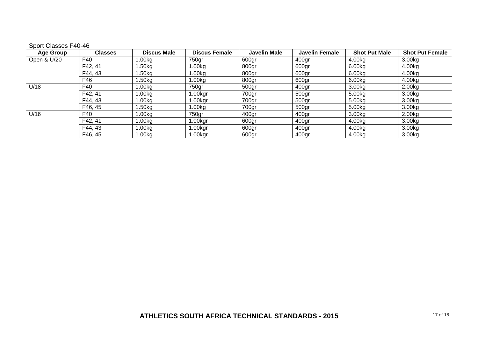### Sport Classes F40-46

| <b>Age Group</b> | <b>Classes</b> | <b>Discus Male</b> | <b>Discus Female</b> | <b>Javelin Male</b> | <b>Javelin Female</b> | <b>Shot Put Male</b> | <b>Shot Put Female</b> |
|------------------|----------------|--------------------|----------------------|---------------------|-----------------------|----------------------|------------------------|
| Open & U/20      | F40            | 1.00kg             | 750gr                | 600gr               | 400gr                 | 4.00kg               | 3.00kg                 |
|                  | F42, 41        | 1.50kg             | 1.00kg               | 800gr               | 600gr                 | 6.00kg               | 4.00kg                 |
|                  | F44, 43        | l.50kg             | .00kg                | 800gr               | 600gr                 | 6.00kg               | 4.00kg                 |
|                  | F46            | $1.50$ kg          | 1.00kg               | 800gr               | 600gr                 | 6.00kg               | 4.00kg                 |
| U/18             | F40            | 1.00kg             | 750gr                | 500gr               | 400gr                 | 3.00kg               | 2.00kg                 |
|                  | F42, 41        | 1.00kg             | .00kgr               | 700gr               | 500gr                 | 5.00kg               | 3.00kg                 |
|                  | F44, 43        | 1.00kg             | i.00kgr              | 700gr               | 500gr                 | 5.00kg               | 3.00kg                 |
|                  | F46, 45        | 1.50kg             | 1.00 <sub>kg</sub>   | 700gr               | 500gr                 | 5.00kg               | 3.00kg                 |
| U/16             | F40            | 1.00kg             | 750gr                | 400 <sub>gr</sub>   | 400gr                 | 3.00 <sub>k</sub> g  | 2.00kg                 |
|                  | F42, 41        | 1.00ka             | 1.00kar              | 600gr               | 400ar                 | 4.00kg               | 3.00kg                 |
|                  | F44, 43        | 1.00kg             | 1.00kgr              | 600gr               | 400gr                 | 4.00kg               | 3.00kg                 |
|                  | F46, 45        | 1.00ka             | ∣.00kar              | 600gr               | 400gr                 | 4.00kg               | 3.00kg                 |